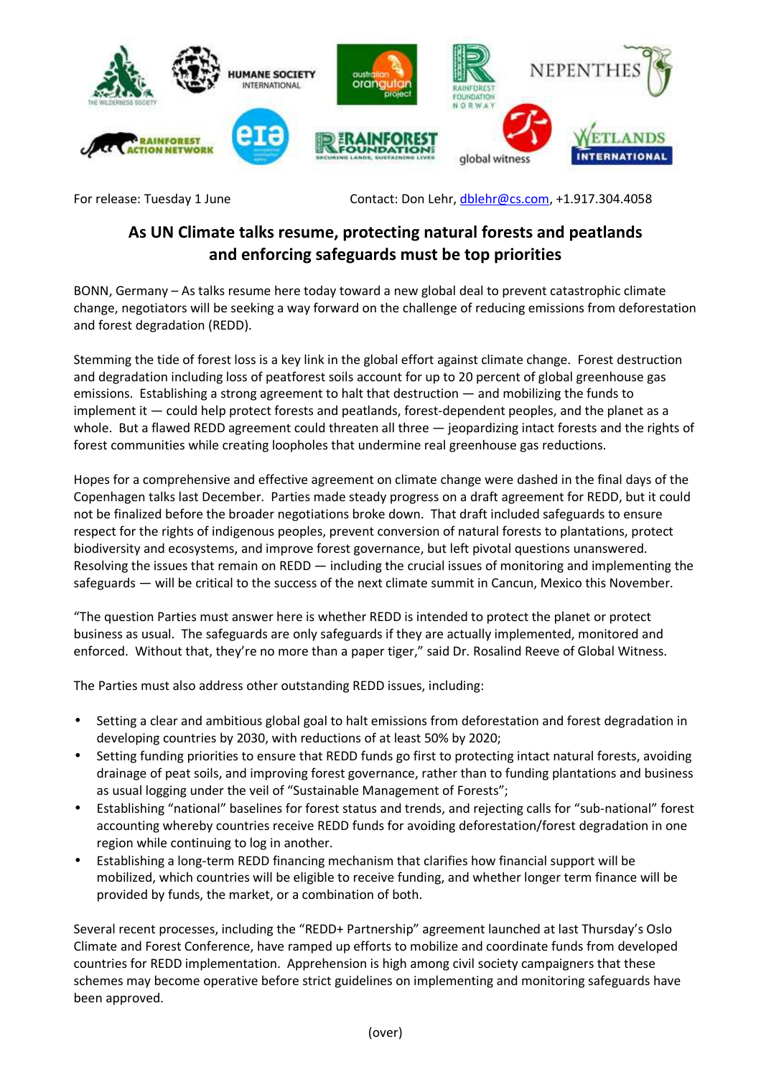

For release: Tuesday 1 June Contact: Don Lehr, dblehr@cs.com, +1.917.304.4058

## **As UN Climate talks resume, protecting natural forests and peatlands and enforcing safeguards must be top priorities**

BONN, Germany – As talks resume here today toward a new global deal to prevent catastrophic climate change, negotiators will be seeking a way forward on the challenge of reducing emissions from deforestation and forest degradation (REDD).

Stemming the tide of forest loss is a key link in the global effort against climate change. Forest destruction and degradation including loss of peatforest soils account for up to 20 percent of global greenhouse gas emissions. Establishing a strong agreement to halt that destruction — and mobilizing the funds to implement it — could help protect forests and peatlands, forest-dependent peoples, and the planet as a whole. But a flawed REDD agreement could threaten all three - jeopardizing intact forests and the rights of forest communities while creating loopholes that undermine real greenhouse gas reductions.

Hopes for a comprehensive and effective agreement on climate change were dashed in the final days of the Copenhagen talks last December. Parties made steady progress on a draft agreement for REDD, but it could not be finalized before the broader negotiations broke down. That draft included safeguards to ensure respect for the rights of indigenous peoples, prevent conversion of natural forests to plantations, protect biodiversity and ecosystems, and improve forest governance, but left pivotal questions unanswered. Resolving the issues that remain on REDD — including the crucial issues of monitoring and implementing the safeguards — will be critical to the success of the next climate summit in Cancun, Mexico this November.

"The question Parties must answer here is whether REDD is intended to protect the planet or protect business as usual. The safeguards are only safeguards if they are actually implemented, monitored and enforced. Without that, they're no more than a paper tiger," said Dr. Rosalind Reeve of Global Witness.

The Parties must also address other outstanding REDD issues, including:

- Setting a clear and ambitious global goal to halt emissions from deforestation and forest degradation in developing countries by 2030, with reductions of at least 50% by 2020;
- Setting funding priorities to ensure that REDD funds go first to protecting intact natural forests, avoiding drainage of peat soils, and improving forest governance, rather than to funding plantations and business as usual logging under the veil of "Sustainable Management of Forests";
- Establishing "national" baselines for forest status and trends, and rejecting calls for "sub-national" forest accounting whereby countries receive REDD funds for avoiding deforestation/forest degradation in one region while continuing to log in another.
- Establishing a long-term REDD financing mechanism that clarifies how financial support will be mobilized, which countries will be eligible to receive funding, and whether longer term finance will be provided by funds, the market, or a combination of both.

Several recent processes, including the "REDD+ Partnership" agreement launched at last Thursday's Oslo Climate and Forest Conference, have ramped up efforts to mobilize and coordinate funds from developed countries for REDD implementation. Apprehension is high among civil society campaigners that these schemes may become operative before strict guidelines on implementing and monitoring safeguards have been approved.